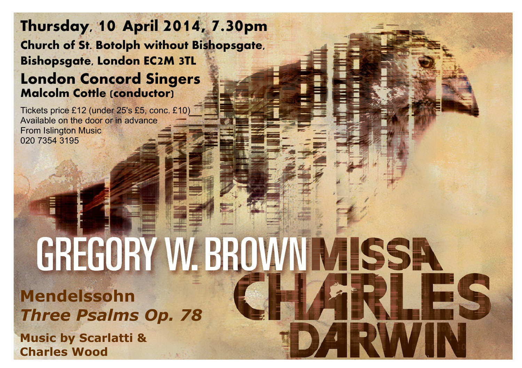## **Thursday, 10 April 2014, 7.30pm Church of St. Botolph without Bishopsgate, Bishopsgate, London EC2M 3TL London Concord Singers Malcolm Cottle (conductor)**

Tickets price £12 (under 25's £5, conc. £10) Available on the door or in advance From Islington Music 020 7354 3195

## GREGORY W. BROWN MISSA **Mendelssohn** *Three Psalms Op. 78* **Music by Scarlatti & Charles Wood**